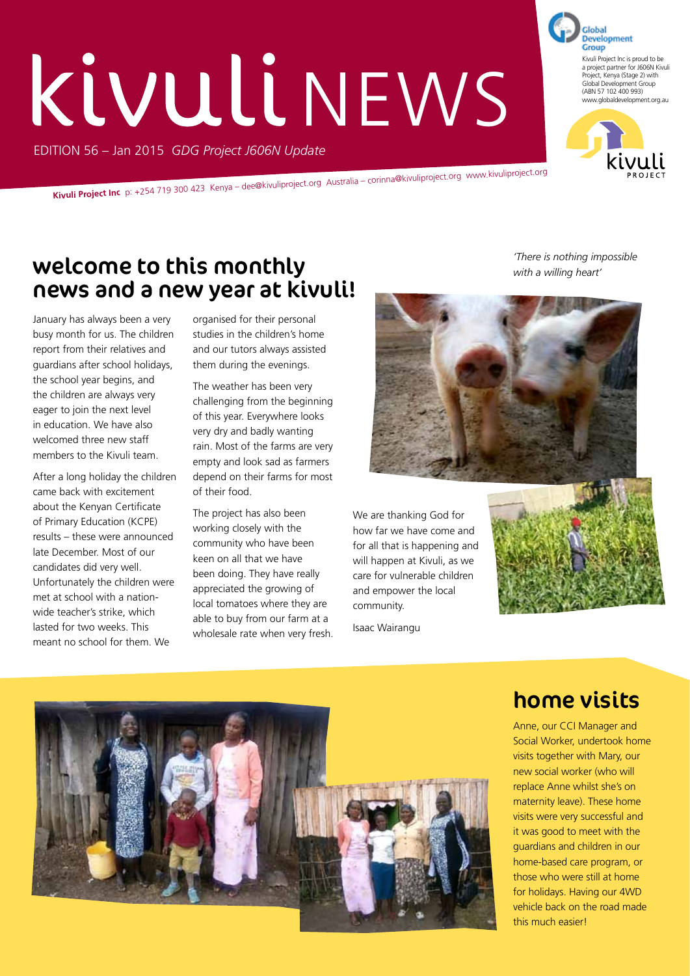# EDITION 56 – Jan 2015 *GDG Project J606N Update* KIVULI NEWS

**Kivuli Project Inc** p: +254 719 300 423 Kenya – dee@kivuliproject.org Australia – corinna@kivuliproject.org www.kivuliproject.org

### welcome to this monthly news and a new year at kivuli!

January has always been a very busy month for us. The children report from their relatives and guardians after school holidays, the school year begins, and the children are always very eager to join the next level in education. We have also welcomed three new staff members to the Kivuli team.

After a long holiday the children came back with excitement about the Kenyan Certificate of Primary Education (KCPE) results – these were announced late December. Most of our candidates did very well. Unfortunately the children were met at school with a nationwide teacher's strike, which lasted for two weeks. This meant no school for them. We

organised for their personal studies in the children's home and our tutors always assisted them during the evenings.

The weather has been very challenging from the beginning of this year. Everywhere looks very dry and badly wanting rain. Most of the farms are very empty and look sad as farmers depend on their farms for most of their food.

The project has also been working closely with the community who have been keen on all that we have been doing. They have really appreciated the growing of local tomatoes where they are able to buy from our farm at a wholesale rate when very fresh.

*'There is nothing impossible with a willing heart'*

We are thanking God for how far we have come and for all that is happening and will happen at Kivuli, as we care for vulnerable children and empower the local community.

Isaac Wairangu





#### home visits

Anne, our CCI Manager and Social Worker, undertook home visits together with Mary, our new social worker (who will replace Anne whilst she's on maternity leave). These home visits were very successful and it was good to meet with the guardians and children in our home-based care program, or those who were still at home for holidays. Having our 4WD vehicle back on the road made this much easier!



Global

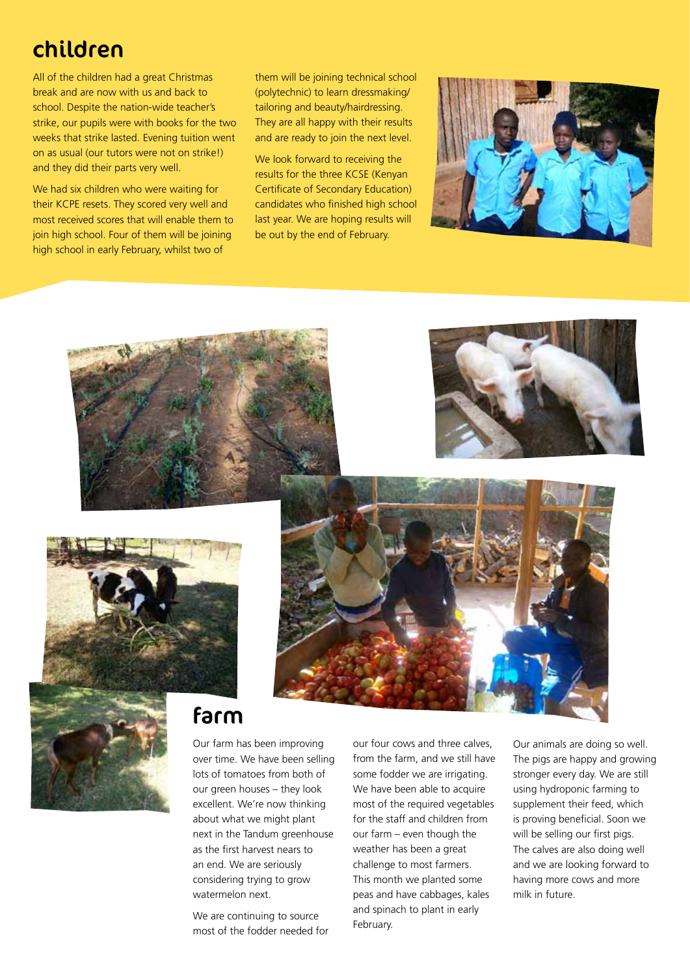#### children

All of the children had a great Christmas break and are now with us and back to school. Despite the nation-wide teacher's strike, our pupils were with books for the two weeks that strike lasted. Evening tuition went on as usual (our tutors were not on strike!) and they did their parts very well.

We had six children who were waiting for their KCPE resets. They scored very well and most received scores that will enable them to join high school. Four of them will be joining high school in early February, whilst two of

them will be joining technical school (polytechnic) to learn dressmaking/ tailoring and beauty/hairdressing. They are all happy with their results and are ready to join the next level.

We look forward to receiving the results for the three KCSE (Kenyan Certificate of Secondary Education) candidates who finished high school last year. We are hoping results will be out by the end of February.











#### farm

Our farm has been improving over time. We have been selling lots of tomatoes from both of our green houses – they look excellent. We're now thinking about what we might plant next in the Tandum greenhouse as the first harvest nears to an end. We are seriously considering trying to grow watermelon next.

We are continuing to source most of the fodder needed for our four cows and three calves, from the farm, and we still have some fodder we are irrigating. We have been able to acquire most of the required vegetables for the staff and children from our farm – even though the weather has been a great challenge to most farmers. This month we planted some peas and have cabbages, kales and spinach to plant in early February.

Our animals are doing so well. The pigs are happy and growing stronger every day. We are still using hydroponic farming to supplement their feed, which is proving beneficial. Soon we will be selling our first pigs. The calves are also doing well and we are looking forward to having more cows and more milk in future.